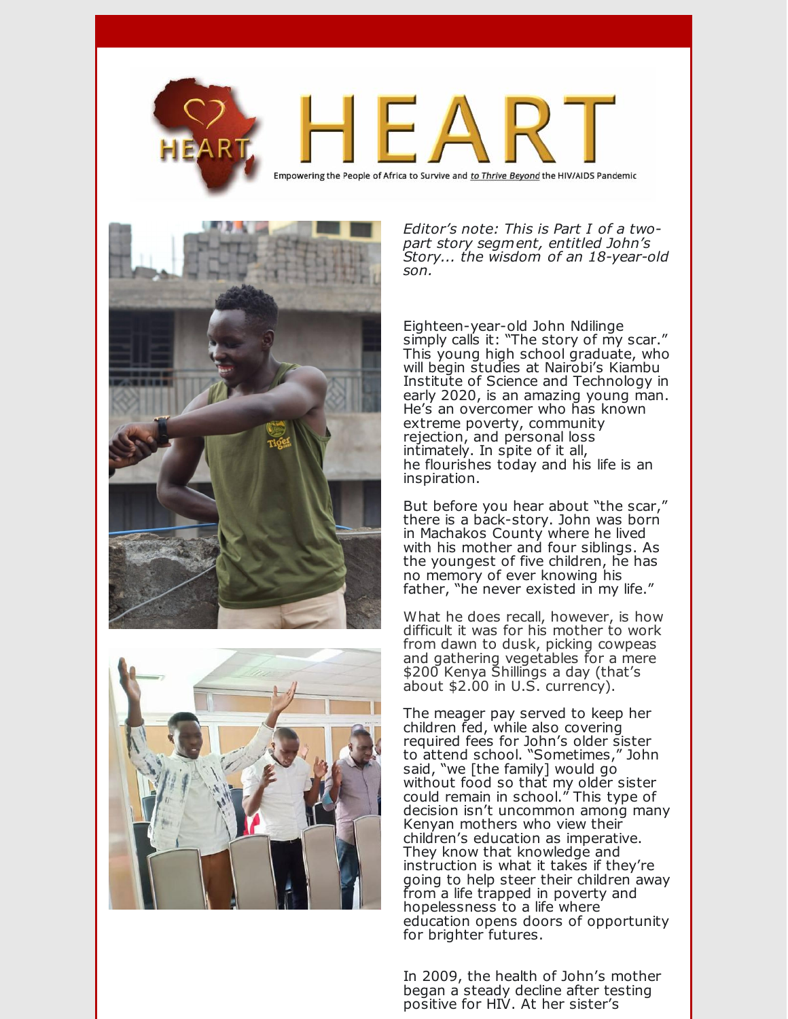

Empowering the People of Africa to Survive and to Thrive Beyond the HIV/AIDS Pandemic





*Editor's note: This is Part I of a twopart story segment, entitled John's Story... the wisdom of an 18-year-old son.*

Eighteen-year-old John Ndilinge simply calls it: "The story of my scar." This young high school graduate, who will begin studies at Nairobi's Kiambu Institute of Science and Technology in early 2020, is an amazing young man. He's an overcomer who has known extreme poverty, community rejection, and personal loss intimately. In spite of it all, he flourishes today and his life is an inspiration.

But before you hear about "the scar," there is a back-story. John was born in Machakos County where he lived with his mother and four siblings. As the youngest of five children, he has no memory of ever knowing his father, "he never existed in my life."

What he does recall, however, is how difficult it was for his mother to work from dawn to dusk, picking cowpeas and gathering vegetables for a mere \$200 Kenya Shillings a day (that's about \$2.00 in U.S. currency).

The meager pay served to keep her children fed, while also covering required fees for John's older sister to attend school. "Sometimes," John said, "we [the family] would go without food so that my older sister could remain in school." This type of decision isn't uncommon among many Kenyan mothers who view their children's education as imperative. They know that knowledge and instruction is what it takes if they're going to help steer their children away from a life trapped in poverty and hopelessness to a life where education opens doors of opportunity for brighter futures.

In 2009, the health of John's mother began a steady decline after testing positive for HIV. At her sister's